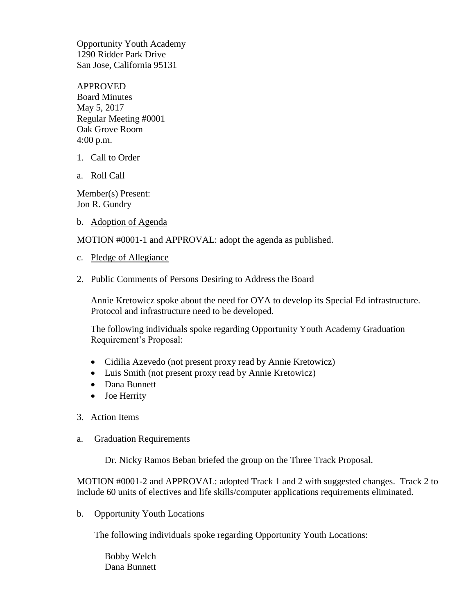Opportunity Youth Academy 1290 Ridder Park Drive San Jose, California 95131

APPROVED Board Minutes May 5, 2017 Regular Meeting #0001 Oak Grove Room 4:00 p.m.

- 1. Call to Order
- a. Roll Call

Member(s) Present: Jon R. Gundry

b. Adoption of Agenda

MOTION #0001-1 and APPROVAL: adopt the agenda as published.

- c. Pledge of Allegiance
- 2. Public Comments of Persons Desiring to Address the Board

Annie Kretowicz spoke about the need for OYA to develop its Special Ed infrastructure. Protocol and infrastructure need to be developed.

The following individuals spoke regarding Opportunity Youth Academy Graduation Requirement's Proposal:

- Cidilia Azevedo (not present proxy read by Annie Kretowicz)
- Luis Smith (not present proxy read by Annie Kretowicz)
- Dana Bunnett
- Joe Herrity
- 3. Action Items
- a. Graduation Requirements

Dr. Nicky Ramos Beban briefed the group on the Three Track Proposal.

MOTION #0001-2 and APPROVAL: adopted Track 1 and 2 with suggested changes. Track 2 to include 60 units of electives and life skills/computer applications requirements eliminated.

b. Opportunity Youth Locations

The following individuals spoke regarding Opportunity Youth Locations:

Bobby Welch Dana Bunnett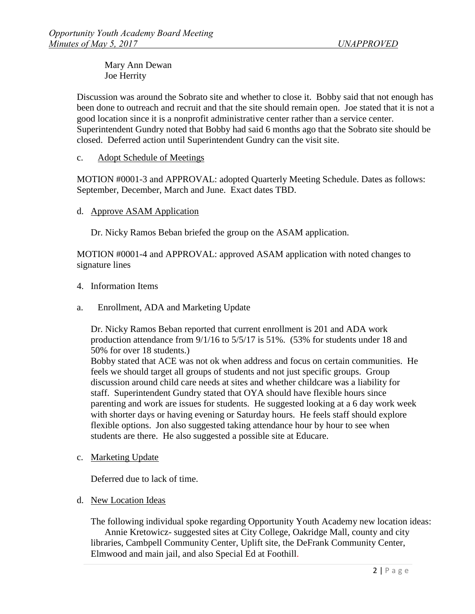Mary Ann Dewan Joe Herrity

Discussion was around the Sobrato site and whether to close it. Bobby said that not enough has been done to outreach and recruit and that the site should remain open. Joe stated that it is not a good location since it is a nonprofit administrative center rather than a service center. Superintendent Gundry noted that Bobby had said 6 months ago that the Sobrato site should be closed. Deferred action until Superintendent Gundry can the visit site.

c. Adopt Schedule of Meetings

MOTION #0001-3 and APPROVAL: adopted Quarterly Meeting Schedule. Dates as follows: September, December, March and June. Exact dates TBD.

d. Approve ASAM Application

Dr. Nicky Ramos Beban briefed the group on the ASAM application.

MOTION #0001-4 and APPROVAL: approved ASAM application with noted changes to signature lines

- 4. Information Items
- a. Enrollment, ADA and Marketing Update

Dr. Nicky Ramos Beban reported that current enrollment is 201 and ADA work production attendance from 9/1/16 to 5/5/17 is 51%. (53% for students under 18 and 50% for over 18 students.)

Bobby stated that ACE was not ok when address and focus on certain communities. He feels we should target all groups of students and not just specific groups. Group discussion around child care needs at sites and whether childcare was a liability for staff. Superintendent Gundry stated that OYA should have flexible hours since parenting and work are issues for students. He suggested looking at a 6 day work week with shorter days or having evening or Saturday hours. He feels staff should explore flexible options. Jon also suggested taking attendance hour by hour to see when students are there. He also suggested a possible site at Educare.

c. Marketing Update

Deferred due to lack of time.

d. New Location Ideas

The following individual spoke regarding Opportunity Youth Academy new location ideas: Annie Kretowicz- suggested sites at City College, Oakridge Mall, county and city libraries, Cambpell Community Center, Uplift site, the DeFrank Community Center, Elmwood and main jail, and also Special Ed at Foothill.